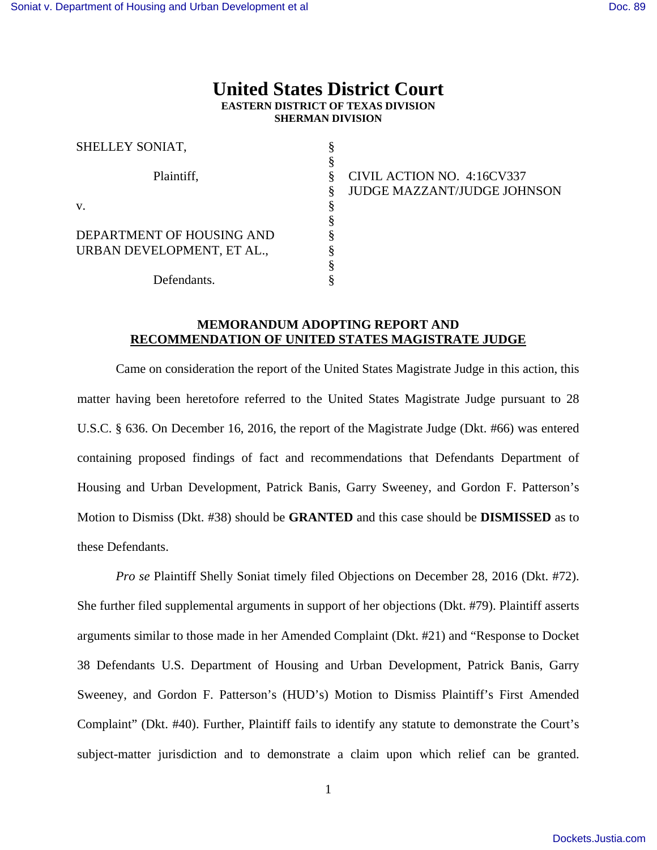## **United States District Court EASTERN DISTRICT OF TEXAS DIVISION SHERMAN DIVISION**

| SHELLEY SONIAT,            |                             |
|----------------------------|-----------------------------|
|                            |                             |
| Plaintiff,                 | CIVIL ACTION NO. 4:16CV337  |
|                            | JUDGE MAZZANT/JUDGE JOHNSON |
| V.                         |                             |
|                            |                             |
| DEPARTMENT OF HOUSING AND  |                             |
| URBAN DEVELOPMENT, ET AL., |                             |
|                            |                             |
| Defendants.                |                             |

## **MEMORANDUM ADOPTING REPORT AND RECOMMENDATION OF UNITED STATES MAGISTRATE JUDGE**

Came on consideration the report of the United States Magistrate Judge in this action, this matter having been heretofore referred to the United States Magistrate Judge pursuant to 28 U.S.C. § 636. On December 16, 2016, the report of the Magistrate Judge (Dkt. #66) was entered containing proposed findings of fact and recommendations that Defendants Department of Housing and Urban Development, Patrick Banis, Garry Sweeney, and Gordon F. Patterson's Motion to Dismiss (Dkt. #38) should be **GRANTED** and this case should be **DISMISSED** as to these Defendants.

*Pro se* Plaintiff Shelly Soniat timely filed Objections on December 28, 2016 (Dkt. #72). She further filed supplemental arguments in support of her objections (Dkt. #79). Plaintiff asserts arguments similar to those made in her Amended Complaint (Dkt. #21) and "Response to Docket 38 Defendants U.S. Department of Housing and Urban Development, Patrick Banis, Garry Sweeney, and Gordon F. Patterson's (HUD's) Motion to Dismiss Plaintiff's First Amended Complaint" (Dkt. #40). Further, Plaintiff fails to identify any statute to demonstrate the Court's subject-matter jurisdiction and to demonstrate a claim upon which relief can be granted.